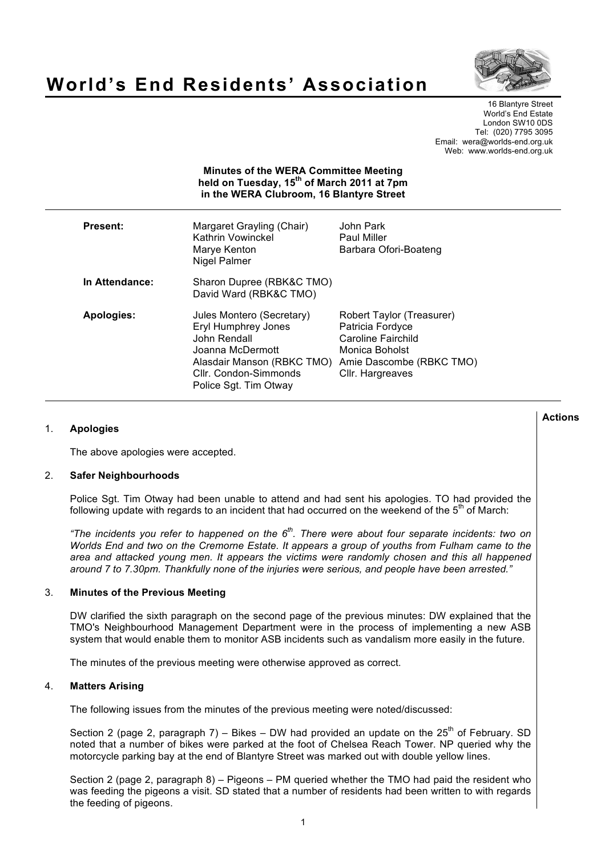

# **World's End Residents' Association**

16 Blantyre Street World's End Estate London SW10 0DS Tel: (020) 7795 3095 Email: wera@worlds-end.org.uk Web: www.worlds-end.org.uk

| <b>Minutes of the WERA Committee Meeting</b><br>held on Tuesday, 15 <sup>th</sup> of March 2011 at 7pm<br>in the WERA Clubroom, 16 Blantyre Street |                                                                                                                                                                      |                                                                                                                                       |
|----------------------------------------------------------------------------------------------------------------------------------------------------|----------------------------------------------------------------------------------------------------------------------------------------------------------------------|---------------------------------------------------------------------------------------------------------------------------------------|
| <b>Present:</b>                                                                                                                                    | Margaret Grayling (Chair)<br>Kathrin Vowinckel<br>Marye Kenton<br>Nigel Palmer                                                                                       | John Park<br><b>Paul Miller</b><br>Barbara Ofori-Boateng                                                                              |
| In Attendance:                                                                                                                                     | Sharon Dupree (RBK&C TMO)<br>David Ward (RBK&C TMO)                                                                                                                  |                                                                                                                                       |
| <b>Apologies:</b>                                                                                                                                  | Jules Montero (Secretary)<br>Eryl Humphrey Jones<br>John Rendall<br>Joanna McDermott<br>Alasdair Manson (RBKC TMO)<br>Cllr. Condon-Simmonds<br>Police Sgt. Tim Otway | Robert Taylor (Treasurer)<br>Patricia Fordyce<br>Caroline Fairchild<br>Monica Boholst<br>Amie Dascombe (RBKC TMO)<br>Cllr. Hargreaves |

## 1. **Apologies**

The above apologies were accepted.

#### 2. **Safer Neighbourhoods**

Police Sgt. Tim Otway had been unable to attend and had sent his apologies. TO had provided the following update with regards to an incident that had occurred on the weekend of the  $5<sup>th</sup>$  of March:

*"The incidents you refer to happened on the 6th. There were about four separate incidents: two on Worlds End and two on the Cremorne Estate. It appears a group of youths from Fulham came to the area and attacked young men. It appears the victims were randomly chosen and this all happened around 7 to 7.30pm. Thankfully none of the injuries were serious, and people have been arrested."*

#### 3. **Minutes of the Previous Meeting**

DW clarified the sixth paragraph on the second page of the previous minutes: DW explained that the TMO's Neighbourhood Management Department were in the process of implementing a new ASB system that would enable them to monitor ASB incidents such as vandalism more easily in the future.

The minutes of the previous meeting were otherwise approved as correct.

## 4. **Matters Arising**

The following issues from the minutes of the previous meeting were noted/discussed:

Section 2 (page 2, paragraph 7) – Bikes – DW had provided an update on the  $25<sup>th</sup>$  of February. SD noted that a number of bikes were parked at the foot of Chelsea Reach Tower. NP queried why the motorcycle parking bay at the end of Blantyre Street was marked out with double yellow lines.

Section 2 (page 2, paragraph 8) – Pigeons – PM queried whether the TMO had paid the resident who was feeding the pigeons a visit. SD stated that a number of residents had been written to with regards the feeding of pigeons.

**Actions**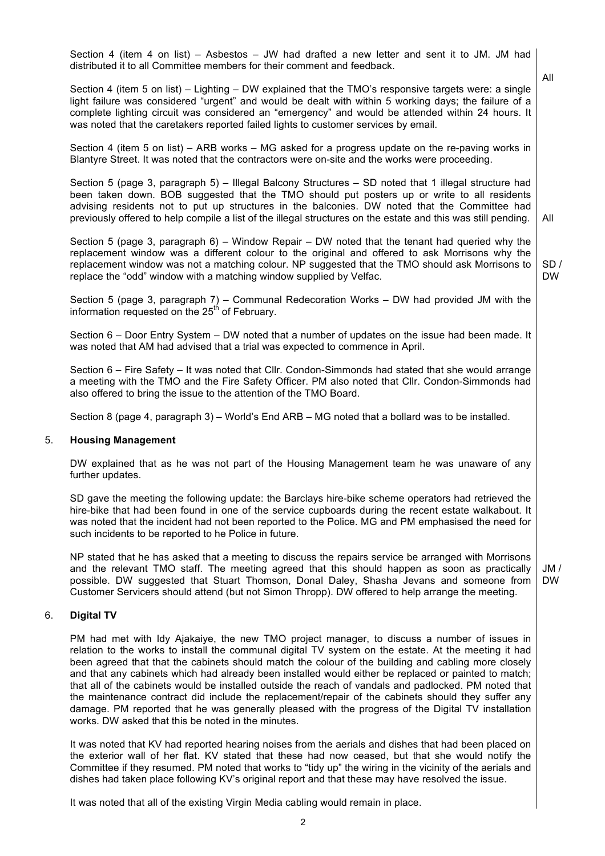Section 4 (item 4 on list) – Asbestos – JW had drafted a new letter and sent it to JM. JM had distributed it to all Committee members for their comment and feedback.

Section 4 (item 5 on list) – Lighting – DW explained that the TMO's responsive targets were: a single light failure was considered "urgent" and would be dealt with within 5 working days; the failure of a complete lighting circuit was considered an "emergency" and would be attended within 24 hours. It was noted that the caretakers reported failed lights to customer services by email.

Section 4 (item 5 on list) – ARB works – MG asked for a progress update on the re-paving works in Blantyre Street. It was noted that the contractors were on-site and the works were proceeding.

Section 5 (page 3, paragraph 5) – Illegal Balcony Structures – SD noted that 1 illegal structure had been taken down. BOB suggested that the TMO should put posters up or write to all residents advising residents not to put up structures in the balconies. DW noted that the Committee had previously offered to help compile a list of the illegal structures on the estate and this was still pending.

Section 5 (page 3, paragraph 6) – Window Repair – DW noted that the tenant had queried why the replacement window was a different colour to the original and offered to ask Morrisons why the replacement window was not a matching colour. NP suggested that the TMO should ask Morrisons to replace the "odd" window with a matching window supplied by Velfac.

Section 5 (page 3, paragraph 7) – Communal Redecoration Works – DW had provided JM with the information requested on the  $25<sup>th</sup>$  of February.

Section 6 – Door Entry System – DW noted that a number of updates on the issue had been made. It was noted that AM had advised that a trial was expected to commence in April.

Section 6 – Fire Safety – It was noted that Cllr. Condon-Simmonds had stated that she would arrange a meeting with the TMO and the Fire Safety Officer. PM also noted that Cllr. Condon-Simmonds had also offered to bring the issue to the attention of the TMO Board.

Section 8 (page 4, paragraph 3) – World's End ARB – MG noted that a bollard was to be installed.

#### 5. **Housing Management**

DW explained that as he was not part of the Housing Management team he was unaware of any further updates.

SD gave the meeting the following update: the Barclays hire-bike scheme operators had retrieved the hire-bike that had been found in one of the service cupboards during the recent estate walkabout. It was noted that the incident had not been reported to the Police. MG and PM emphasised the need for such incidents to be reported to he Police in future.

NP stated that he has asked that a meeting to discuss the repairs service be arranged with Morrisons and the relevant TMO staff. The meeting agreed that this should happen as soon as practically possible. DW suggested that Stuart Thomson, Donal Daley, Shasha Jevans and someone from Customer Servicers should attend (but not Simon Thropp). DW offered to help arrange the meeting.

#### 6. **Digital TV**

PM had met with Idy Ajakaiye, the new TMO project manager, to discuss a number of issues in relation to the works to install the communal digital TV system on the estate. At the meeting it had been agreed that that the cabinets should match the colour of the building and cabling more closely and that any cabinets which had already been installed would either be replaced or painted to match; that all of the cabinets would be installed outside the reach of vandals and padlocked. PM noted that the maintenance contract did include the replacement/repair of the cabinets should they suffer any damage. PM reported that he was generally pleased with the progress of the Digital TV installation works. DW asked that this be noted in the minutes.

It was noted that KV had reported hearing noises from the aerials and dishes that had been placed on the exterior wall of her flat. KV stated that these had now ceased, but that she would notify the Committee if they resumed. PM noted that works to "tidy up" the wiring in the vicinity of the aerials and dishes had taken place following KV's original report and that these may have resolved the issue.

It was noted that all of the existing Virgin Media cabling would remain in place.

 $JM /$ DW

All

SD / DW

All